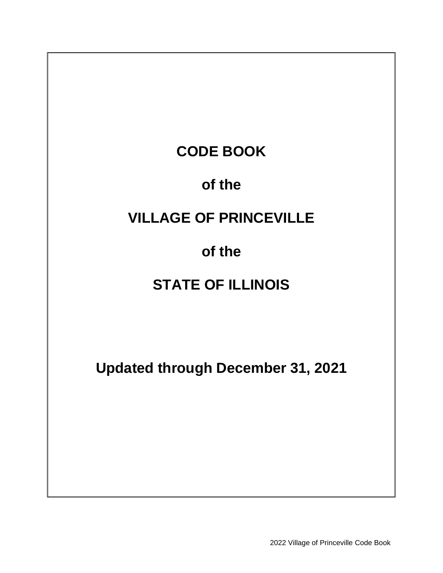# **CODE BOOK**

### **of the**

# **VILLAGE OF PRINCEVILLE**

### **of the**

# **STATE OF ILLINOIS**

**Updated through December 31, 2021**

2022 Village of Princeville Code Book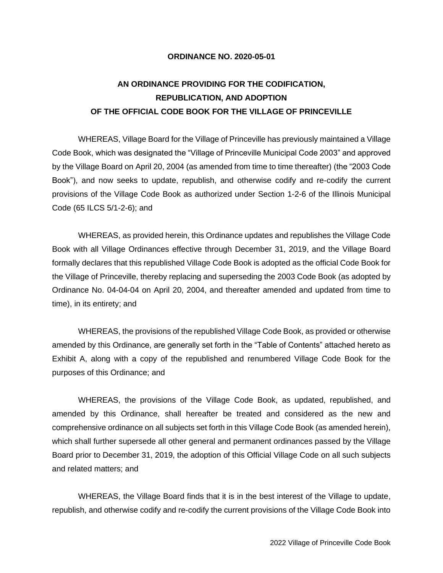#### **ORDINANCE NO. 2020-05-01**

### **AN ORDINANCE PROVIDING FOR THE CODIFICATION, REPUBLICATION, AND ADOPTION OF THE OFFICIAL CODE BOOK FOR THE VILLAGE OF PRINCEVILLE**

WHEREAS, Village Board for the Village of Princeville has previously maintained a Village Code Book, which was designated the "Village of Princeville Municipal Code 2003" and approved by the Village Board on April 20, 2004 (as amended from time to time thereafter) (the "2003 Code Book"), and now seeks to update, republish, and otherwise codify and re-codify the current provisions of the Village Code Book as authorized under Section 1-2-6 of the Illinois Municipal Code (65 ILCS 5/1-2-6); and

WHEREAS, as provided herein, this Ordinance updates and republishes the Village Code Book with all Village Ordinances effective through December 31, 2019, and the Village Board formally declares that this republished Village Code Book is adopted as the official Code Book for the Village of Princeville, thereby replacing and superseding the 2003 Code Book (as adopted by Ordinance No. 04-04-04 on April 20, 2004, and thereafter amended and updated from time to time), in its entirety; and

WHEREAS, the provisions of the republished Village Code Book, as provided or otherwise amended by this Ordinance, are generally set forth in the "Table of Contents" attached hereto as Exhibit A, along with a copy of the republished and renumbered Village Code Book for the purposes of this Ordinance; and

WHEREAS, the provisions of the Village Code Book, as updated, republished, and amended by this Ordinance, shall hereafter be treated and considered as the new and comprehensive ordinance on all subjects set forth in this Village Code Book (as amended herein), which shall further supersede all other general and permanent ordinances passed by the Village Board prior to December 31, 2019, the adoption of this Official Village Code on all such subjects and related matters; and

WHEREAS, the Village Board finds that it is in the best interest of the Village to update, republish, and otherwise codify and re-codify the current provisions of the Village Code Book into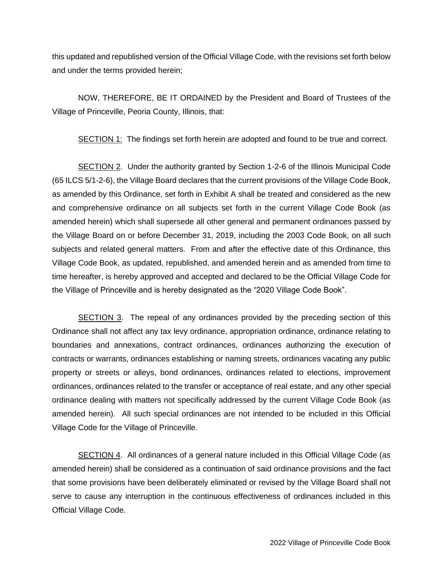this updated and republished version of the Official Village Code, with the revisions set forth below and under the terms provided herein;

NOW, THEREFORE, BE IT ORDAINED by the President and Board of Trustees of the Village of Princeville, Peoria County, Illinois, that:

SECTION 1: The findings set forth herein are adopted and found to be true and correct.

SECTION 2. Under the authority granted by Section 1-2-6 of the Illinois Municipal Code (65 ILCS 5/1-2-6), the Village Board declares that the current provisions of the Village Code Book, as amended by this Ordinance, set forth in Exhibit A shall be treated and considered as the new and comprehensive ordinance on all subjects set forth in the current Village Code Book (as amended herein) which shall supersede all other general and permanent ordinances passed by the Village Board on or before December 31, 2019, including the 2003 Code Book, on all such subjects and related general matters. From and after the effective date of this Ordinance, this Village Code Book, as updated, republished, and amended herein and as amended from time to time hereafter, is hereby approved and accepted and declared to be the Official Village Code for the Village of Princeville and is hereby designated as the "2020 Village Code Book".

SECTION 3. The repeal of any ordinances provided by the preceding section of this Ordinance shall not affect any tax levy ordinance, appropriation ordinance, ordinance relating to boundaries and annexations, contract ordinances, ordinances authorizing the execution of contracts or warrants, ordinances establishing or naming streets, ordinances vacating any public property or streets or alleys, bond ordinances, ordinances related to elections, improvement ordinances, ordinances related to the transfer or acceptance of real estate, and any other special ordinance dealing with matters not specifically addressed by the current Village Code Book (as amended herein). All such special ordinances are not intended to be included in this Official Village Code for the Village of Princeville.

SECTION 4. All ordinances of a general nature included in this Official Village Code (as amended herein) shall be considered as a continuation of said ordinance provisions and the fact that some provisions have been deliberately eliminated or revised by the Village Board shall not serve to cause any interruption in the continuous effectiveness of ordinances included in this Official Village Code.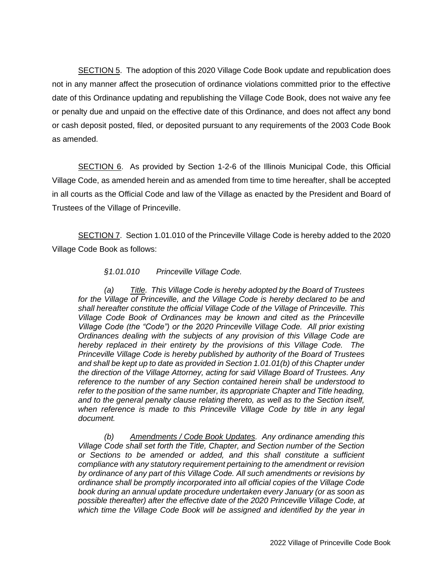SECTION 5. The adoption of this 2020 Village Code Book update and republication does not in any manner affect the prosecution of ordinance violations committed prior to the effective date of this Ordinance updating and republishing the Village Code Book, does not waive any fee or penalty due and unpaid on the effective date of this Ordinance, and does not affect any bond or cash deposit posted, filed, or deposited pursuant to any requirements of the 2003 Code Book as amended.

SECTION 6. As provided by Section 1-2-6 of the Illinois Municipal Code, this Official Village Code, as amended herein and as amended from time to time hereafter, shall be accepted in all courts as the Official Code and law of the Village as enacted by the President and Board of Trustees of the Village of Princeville.

SECTION 7. Section 1.01.010 of the Princeville Village Code is hereby added to the 2020 Village Code Book as follows:

#### *§1.01.010 Princeville Village Code.*

*(a) Title. This Village Code is hereby adopted by the Board of Trustees for the Village of Princeville, and the Village Code is hereby declared to be and shall hereafter constitute the official Village Code of the Village of Princeville. This Village Code Book of Ordinances may be known and cited as the Princeville Village Code (the "Code") or the 2020 Princeville Village Code. All prior existing Ordinances dealing with the subjects of any provision of this Village Code are hereby replaced in their entirety by the provisions of this Village Code. The Princeville Village Code is hereby published by authority of the Board of Trustees and shall be kept up to date as provided in Section 1.01.01(b) of this Chapter under the direction of the Village Attorney, acting for said Village Board of Trustees. Any reference to the number of any Section contained herein shall be understood to refer to the position of the same number, its appropriate Chapter and Title heading, and to the general penalty clause relating thereto, as well as to the Section itself,*  when reference is made to this Princeville Village Code by title in any legal *document.*

*(b) Amendments / Code Book Updates. Any ordinance amending this Village Code shall set forth the Title, Chapter, and Section number of the Section or Sections to be amended or added, and this shall constitute a sufficient compliance with any statutory requirement pertaining to the amendment or revision by ordinance of any part of this Village Code. All such amendments or revisions by ordinance shall be promptly incorporated into all official copies of the Village Code book during an annual update procedure undertaken every January (or as soon as possible thereafter) after the effective date of the 2020 Princeville Village Code, at which time the Village Code Book will be assigned and identified by the year in*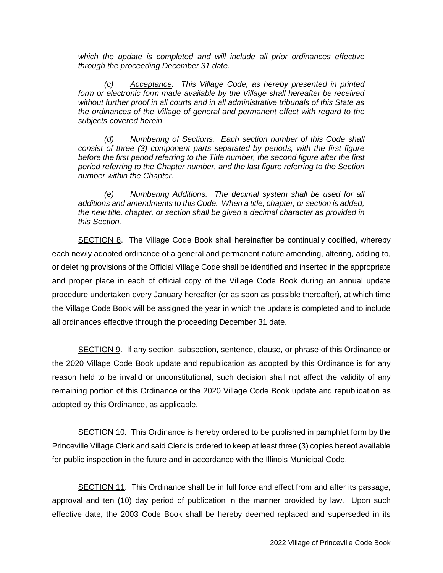*which the update is completed and will include all prior ordinances effective through the proceeding December 31 date.*

*(c) Acceptance. This Village Code, as hereby presented in printed form or electronic form made available by the Village shall hereafter be received without further proof in all courts and in all administrative tribunals of this State as the ordinances of the Village of general and permanent effect with regard to the subjects covered herein.*

*(d) Numbering of Sections. Each section number of this Code shall consist of three (3) component parts separated by periods, with the first figure before the first period referring to the Title number, the second figure after the first period referring to the Chapter number, and the last figure referring to the Section number within the Chapter.*

*(e) Numbering Additions. The decimal system shall be used for all additions and amendments to this Code. When a title, chapter, or section is added, the new title, chapter, or section shall be given a decimal character as provided in this Section.*

SECTION 8. The Village Code Book shall hereinafter be continually codified, whereby each newly adopted ordinance of a general and permanent nature amending, altering, adding to, or deleting provisions of the Official Village Code shall be identified and inserted in the appropriate and proper place in each of official copy of the Village Code Book during an annual update procedure undertaken every January hereafter (or as soon as possible thereafter), at which time the Village Code Book will be assigned the year in which the update is completed and to include all ordinances effective through the proceeding December 31 date.

SECTION 9. If any section, subsection, sentence, clause, or phrase of this Ordinance or the 2020 Village Code Book update and republication as adopted by this Ordinance is for any reason held to be invalid or unconstitutional, such decision shall not affect the validity of any remaining portion of this Ordinance or the 2020 Village Code Book update and republication as adopted by this Ordinance, as applicable.

SECTION 10. This Ordinance is hereby ordered to be published in pamphlet form by the Princeville Village Clerk and said Clerk is ordered to keep at least three (3) copies hereof available for public inspection in the future and in accordance with the Illinois Municipal Code.

SECTION 11. This Ordinance shall be in full force and effect from and after its passage, approval and ten (10) day period of publication in the manner provided by law. Upon such effective date, the 2003 Code Book shall be hereby deemed replaced and superseded in its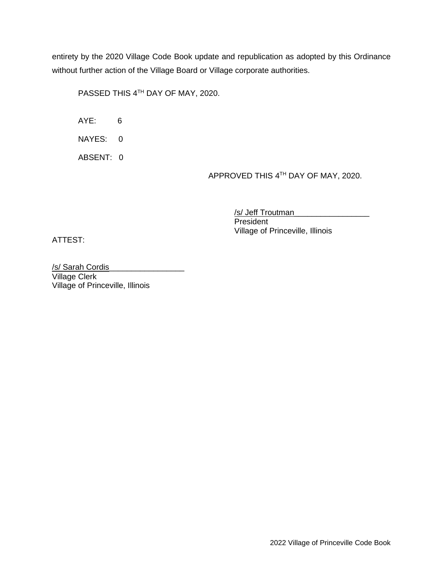entirety by the 2020 Village Code Book update and republication as adopted by this Ordinance without further action of the Village Board or Village corporate authorities.

PASSED THIS 4TH DAY OF MAY, 2020.

AYE: 6

NAYES: 0

ABSENT: 0

APPROVED THIS 4<sup>th</sup> DAY OF MAY, 2020.

/s/ Jeff Troutman

**President** Village of Princeville, Illinois

ATTEST:

/s/ Sarah Cordis\_\_\_\_\_\_\_\_\_\_\_\_\_\_\_\_\_ Village Clerk Village of Princeville, Illinois